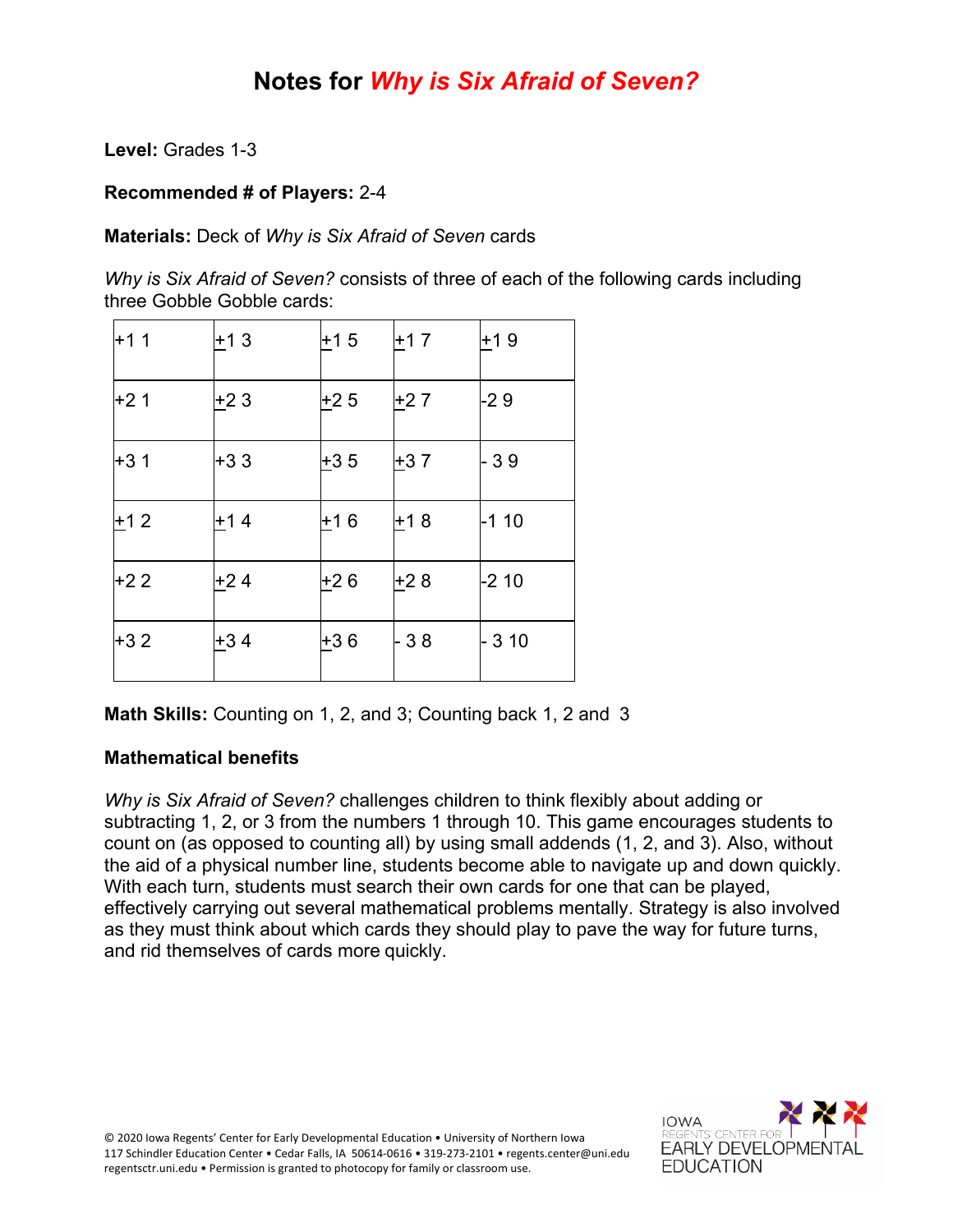## **Notes for** *Why is Six Afraid of Seven?*

**Level:** Grades 1-3

#### **Recommended # of Players:** 2-4

**Materials:** Deck of *Why is Six Afraid of Seven* cards

*Why is Six Afraid of Seven?* consists of three of each of the following cards including three Gobble Gobble cards:

| +1 1  | +1 3  | +15   | $+17$ | +19    |
|-------|-------|-------|-------|--------|
| $+21$ | +23   | $+25$ | $+27$ | -29    |
| +31   | +33   | $+35$ | $+37$ | - 39   |
| $+12$ | +14   | +16   | $+18$ | -1 10  |
| $+22$ | +24   | $+26$ | $+28$ | -2 10  |
| $+32$ | $+34$ | +36   | - 38  | $-310$ |

**Math Skills:** Counting on 1, 2, and 3; Counting back 1, 2 and 3

#### **Mathematical benefits**

*Why is Six Afraid of Seven?* challenges children to think flexibly about adding or subtracting 1, 2, or 3 from the numbers 1 through 10. This game encourages students to count on (as opposed to counting all) by using small addends (1, 2, and 3). Also, without the aid of a physical number line, students become able to navigate up and down quickly. With each turn, students must search their own cards for one that can be played, effectively carrying out several mathematical problems mentally. Strategy is also involved as they must think about which cards they should play to pave the way for future turns, and rid themselves of cards more quickly.

© 2020 Iowa Regents' Center for Early Developmental Education • University of Northern Iowa 117 Schindler Education Center • Cedar Falls, IA 50614-0616 • 319-273-2101 • regents.center@uni.edu regentsctr.uni.edu • Permission is granted to photocopy for family or classroom use.

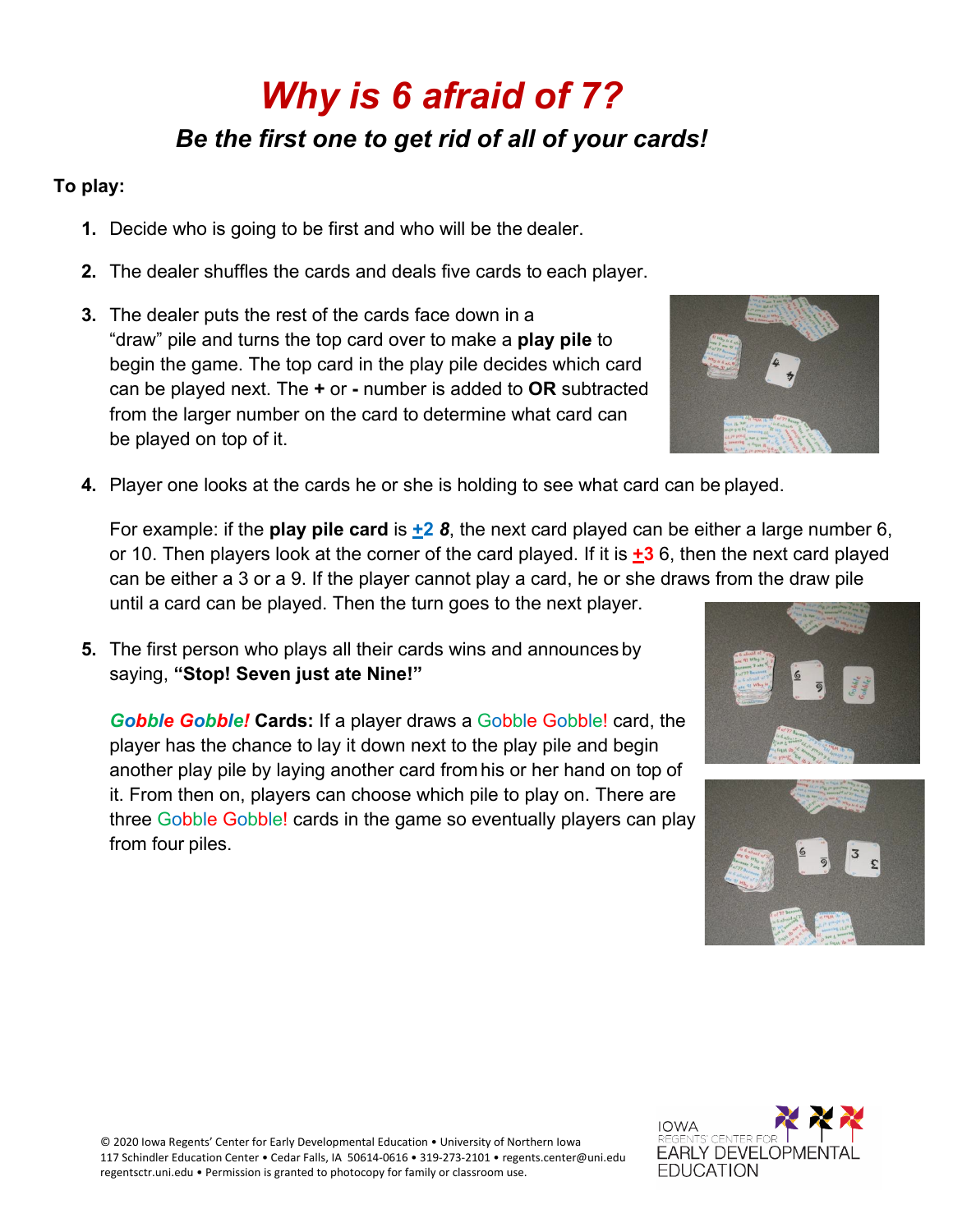# *Why is 6 afraid of 7? Be the first one to get rid of all of your cards!*

### **To play:**

- **1.** Decide who is going to be first and who will be the dealer.
- **2.** The dealer shuffles the cards and deals five cards to each player.
- **3.** The dealer puts the rest of the cards face down in a "draw" pile and turns the top card over to make a **play pile** to begin the game. The top card in the play pile decides which card can be played next. The **+** or **-** number is added to **OR** subtracted from the larger number on the card to determine what card can be played on top of it.
	-
- **4.** Player one looks at the cards he or she is holding to see what card can be played.

For example: if the **play pile card** is **+2** *8*, the next card played can be either a large number 6, or 10. Then players look at the corner of the card played. If it is **+3** 6, then the next card played can be either a 3 or a 9. If the player cannot play a card, he or she draws from the draw pile until a card can be played. Then the turn goes to the next player.

**5.** The first person who plays all their cards wins and announces by saying, **"Stop! Seven just ate Nine!"**

*Gobble Gobble!* **Cards:** If a player draws a Gobble Gobble! card, the player has the chance to lay it down next to the play pile and begin another play pile by laying another card from his or her hand on top of it. From then on, players can choose which pile to play on. There are three Gobble Gobble! cards in the game so eventually players can play from four piles.





© 2020 Iowa Regents' Center for Early Developmental Education • University of Northern Iowa 117 Schindler Education Center • Cedar Falls, IA 50614-0616 • 319-273-2101 • regents.center@uni.edu regentsctr.uni.edu • Permission is granted to photocopy for family or classroom use.

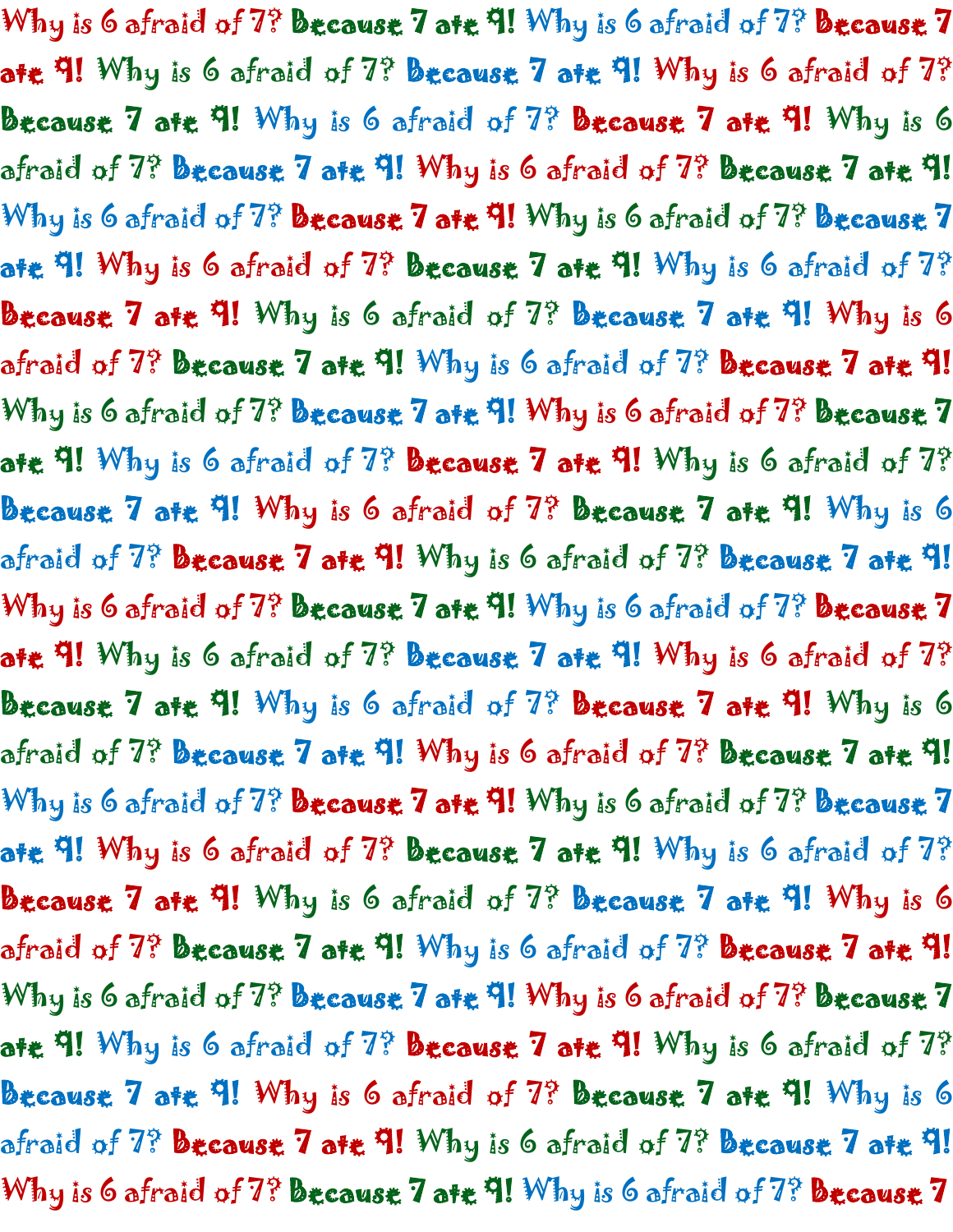Why is 6 afraid of 7? Because 7 ate 9! Why is 6 afraid of 7? Because 7 ate 9! Why is 6 afraid of 7? Because 7 ate 9! Why is 6 afraid of 7? Because 7 ate 9! Why is 6 afraid of  $7$ ? Because 7 ate 9! Why is 6 afraid of 7? Because 7 ate 9! Why is 6 afraid of 7? Because 7 ate 9! Why is 6 afraid of  $7$ ? **Because 7 ate 9!** Why is 6 afraid of  $7$ ? **Because** 7 ate 9! Why is 6 afraid of 7? Because 7 ate 9! Why is 6 afraid of 7? Because 7 ate 9! Why is 6 afraid of 7? Because 7 ate 9! Why is 6 afraid of  $7$ ? Because 7 ate 9! Why is 6 afraid of  $7$ ? Because 7 ate 9! Why is 6 afraid of 7? Because 7 ate 9! Why is 6 afraid of 7? Because 7 ate 9! Why is 6 afraid of 7? Because 7 ate 9! Why is 6 afraid of 7? Because 7 ate 9! Why is 6 afraid of 7? Because 7 ate 9! Why is 6 afraid of  $7\%$  because 7 ate 9! Why is 6 afraid of  $7\%$  because 7 ate 9! Why is 6 afraid of 7? Because 7 ate 9! Why is 6 afraid of 7? Because 7 ate 4! Why is 6 afraid of 7? Because 7 ate 4! Why is 6 afraid of 7? Because 7 ate 9! Why is 6 afraid of  $7$ ? Because 7 ate 9! Why is 6 afraid of 7? Because 7 ate 9! Why is 6 afraid of 7? Because 7 ate 9! Why is 6 afraid of  $7$ ? **Because 7 ate 9!** Why is 6 afraid of  $7$ ? **Because** 7 ate 9! Why is 6 afraid of 7? Because 7 ate 9! Why is 6 afraid of 7? Because 7 ate 9! Why is 6 afraid of 7? Because 7 ate 9! Why is 6 afraid of  $7?$  Because 7 ate 9! Why is 6 afraid of  $7?$  Because 7 ate 9! Why is 6 afraid of 7? Because 7 ate 9! Why is 6 afraid of 7? Because 7 ate 9! Why is 6 afraid of 7? Because 7 ate 9! Why is 6 afraid of 7? Because 7 ate 9! Why is 6 afraid of 7? Because 7 ate 9! Why is 6 afraid of  $7\%$  because 7 ate 9! Why is 6 afraid of  $7\%$  because 7 ate 9! Why is 6 afraid of  $7$ ? because 7 ate 9! Why is 6 afraid of  $7$ ? because 7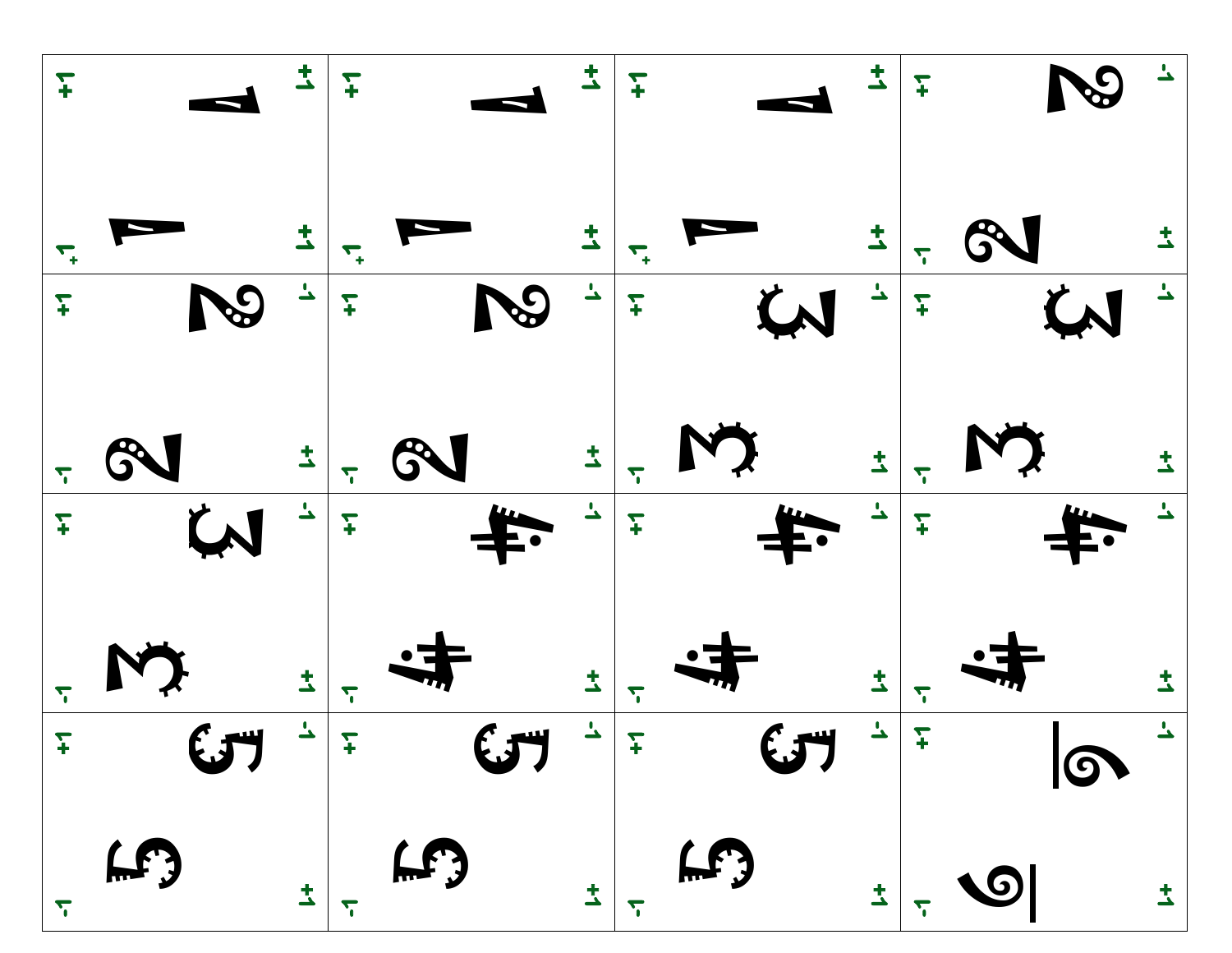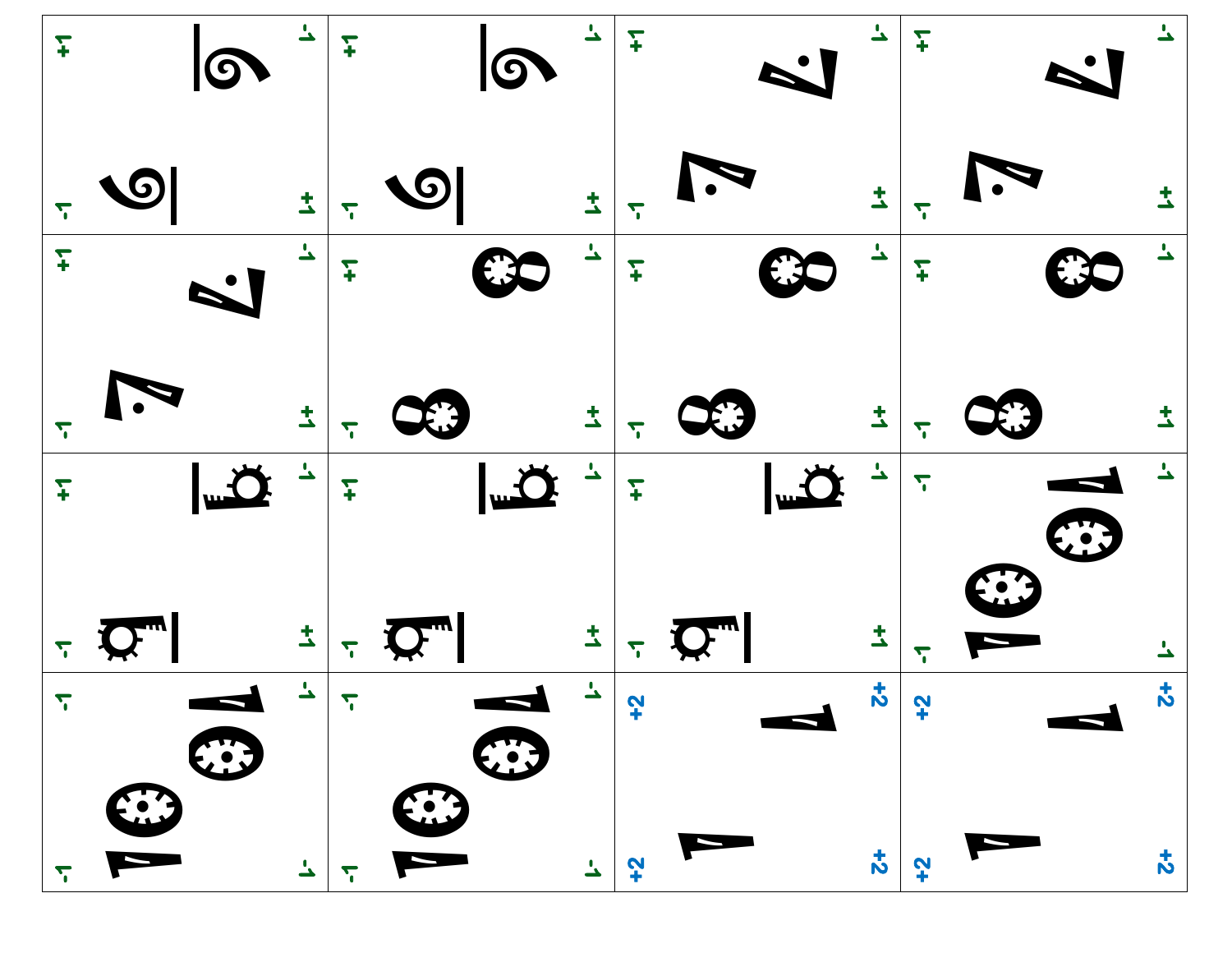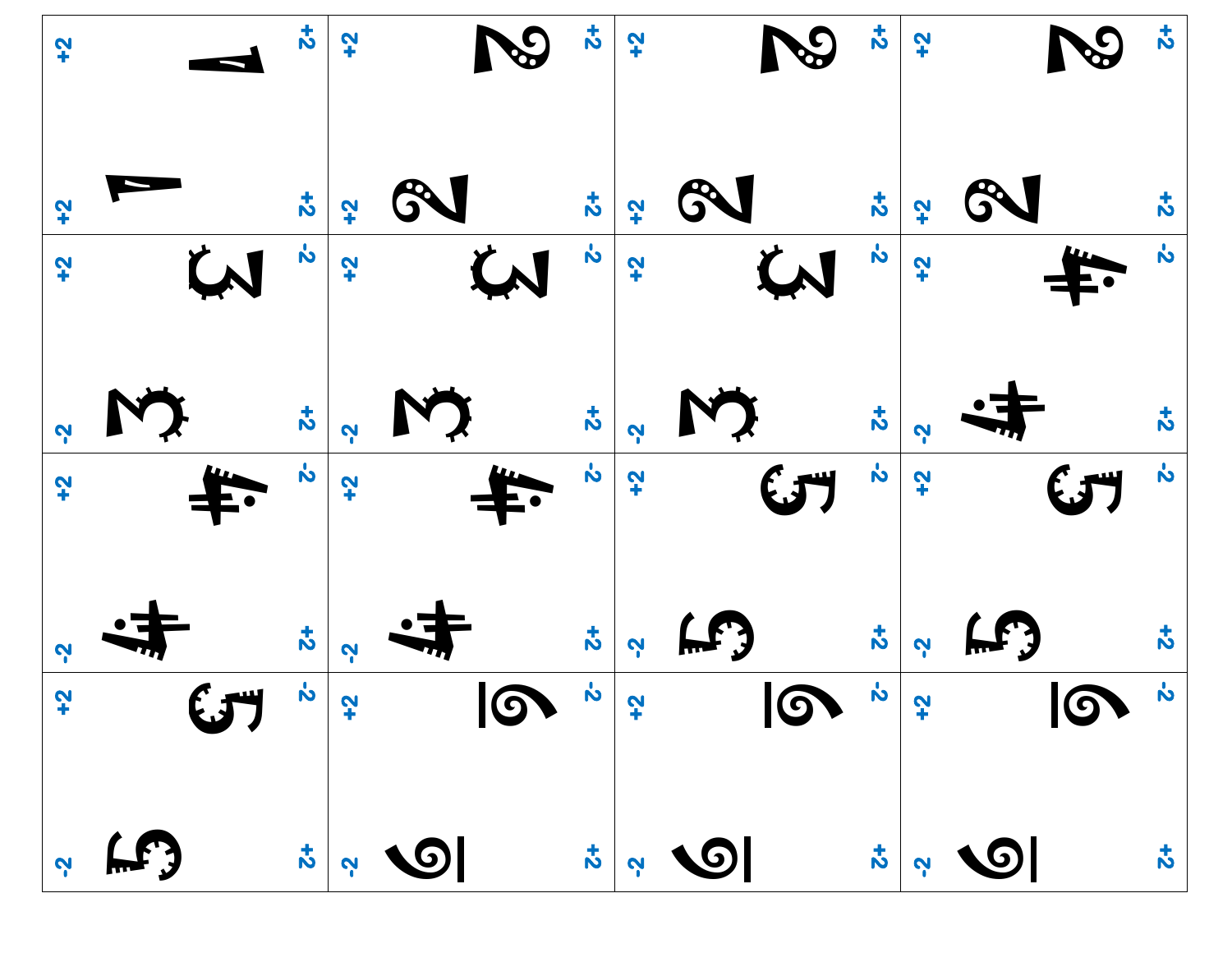| $\ddot{r}$    | $\mathbf{r}$                    | $\ddot{ }$   | $\mathcal{S}% _{M_{1},M_{2}}^{\alpha,\beta}(\varepsilon)=\mathcal{S}_{M_{1},M_{2}}^{\alpha,\beta}(\varepsilon)$ | $\vec{v}$          | $\ddot{ }$   | $\mathcal{S}% _{M_{1},M_{2}}^{\alpha,\beta}(\varepsilon)=\left( \mathcal{S}% _{M_{1},M_{2}}^{\alpha,\beta}\right) ^{\ast}$ | $\frac{1}{2}$      | $+2$         |       | $\boldsymbol{z}$   |
|---------------|---------------------------------|--------------|-----------------------------------------------------------------------------------------------------------------|--------------------|--------------|----------------------------------------------------------------------------------------------------------------------------|--------------------|--------------|-------|--------------------|
| $\ddot{r}$    | $\vec{z}$                       | ζ,           |                                                                                                                 | $\boldsymbol{t}$   | $\mathbf{z}$ | GN                                                                                                                         | $\vec{z}$          | $\mathbf{r}$ |       | $\boldsymbol{5}$   |
| $\mathbf{r}$  | $\dot{\mathbf{c}}$<br><b>LN</b> | $\mathbf{r}$ | W                                                                                                               | $\dot{\mathbf{c}}$ | $\ddot{ }$   | W                                                                                                                          | $\dot{\mathbf{z}}$ | $\mathbf{r}$ |       | $\dot{\mathbf{b}}$ |
| <b>N</b>      | $\boldsymbol{z}$                | Ņ            |                                                                                                                 | $\boldsymbol{z}$   | <b>N</b>     |                                                                                                                            | $\boldsymbol{z}$   | <b>N</b>     |       | $\boldsymbol{5}$   |
| $\mathbf{r}$  | $\dot{b}$                       | $\mathbf{r}$ |                                                                                                                 | $\dot{b}$          | $\ddot{ }$   | $\mathbf{G}$                                                                                                               | $\dot{\mathbf{v}}$ | $\mathbf{r}$ | (JT   | $\dot{\mathbf{c}}$ |
| <b>V</b>      | $\vec{c}$                       | <b>N</b>     |                                                                                                                 | $\boldsymbol{z}$   | <u>လူ</u>    | $\mathbf{F}$                                                                                                               | $\boldsymbol{z}$   | <b>P</b>     | (LF)  | $\boldsymbol{z}$   |
| $\frac{1}{2}$ |                                 |              | $\frac{1}{2}$                                                                                                   |                    |              |                                                                                                                            |                    |              |       | $\boldsymbol{z}$   |
| <b>P</b>      | f(f)                            |              | $\begin{array}{c c c c} \hline \downarrow & \downarrow & \downarrow & \downarrow & \downarrow \end{array}$      |                    |              | $\begin{array}{c c c c} \hline \downarrow & \downarrow & \downarrow & \downarrow & \downarrow \hline \end{array}$          | $\frac{1}{\infty}$ |              | 2 9 1 | $\vec{v}$          |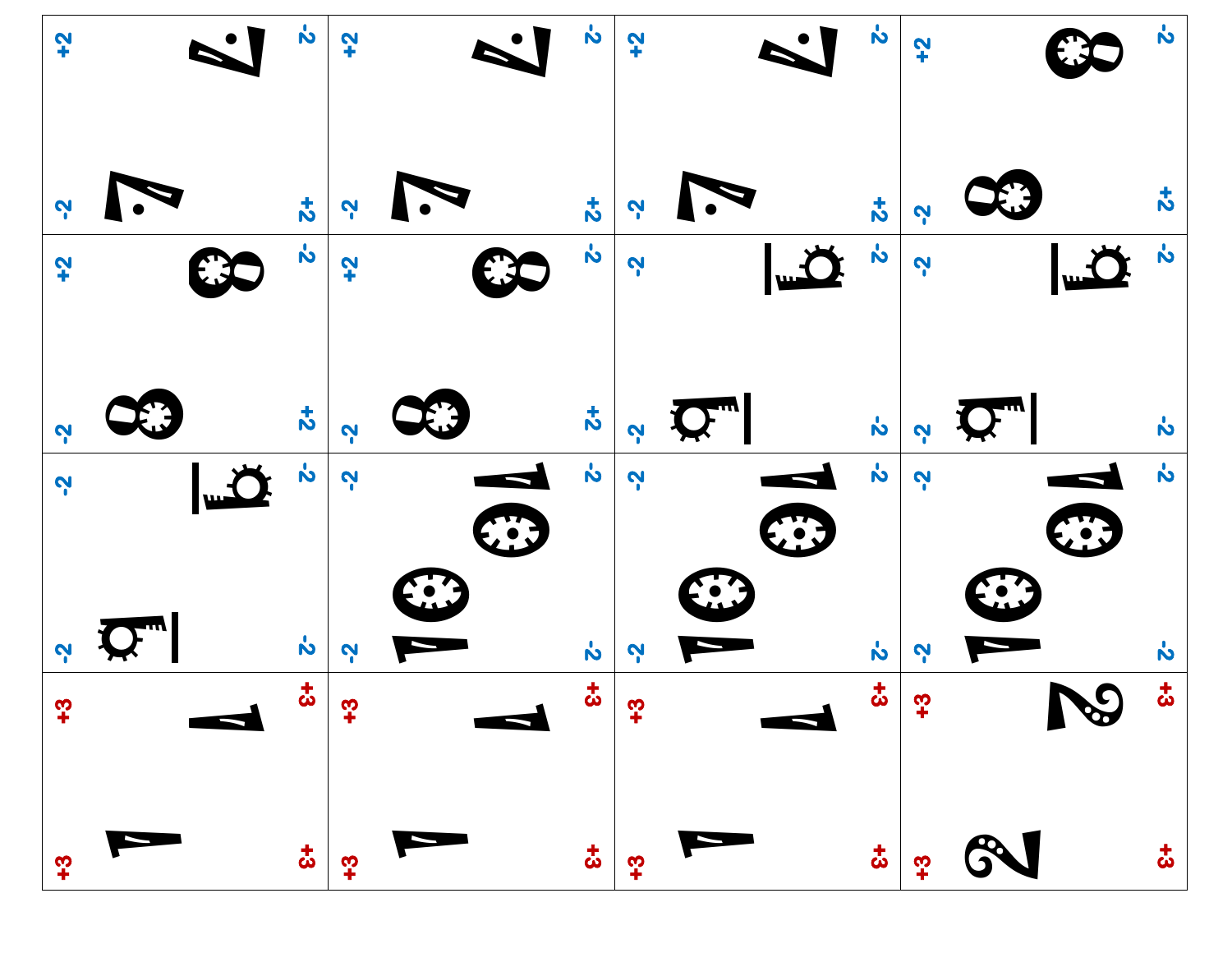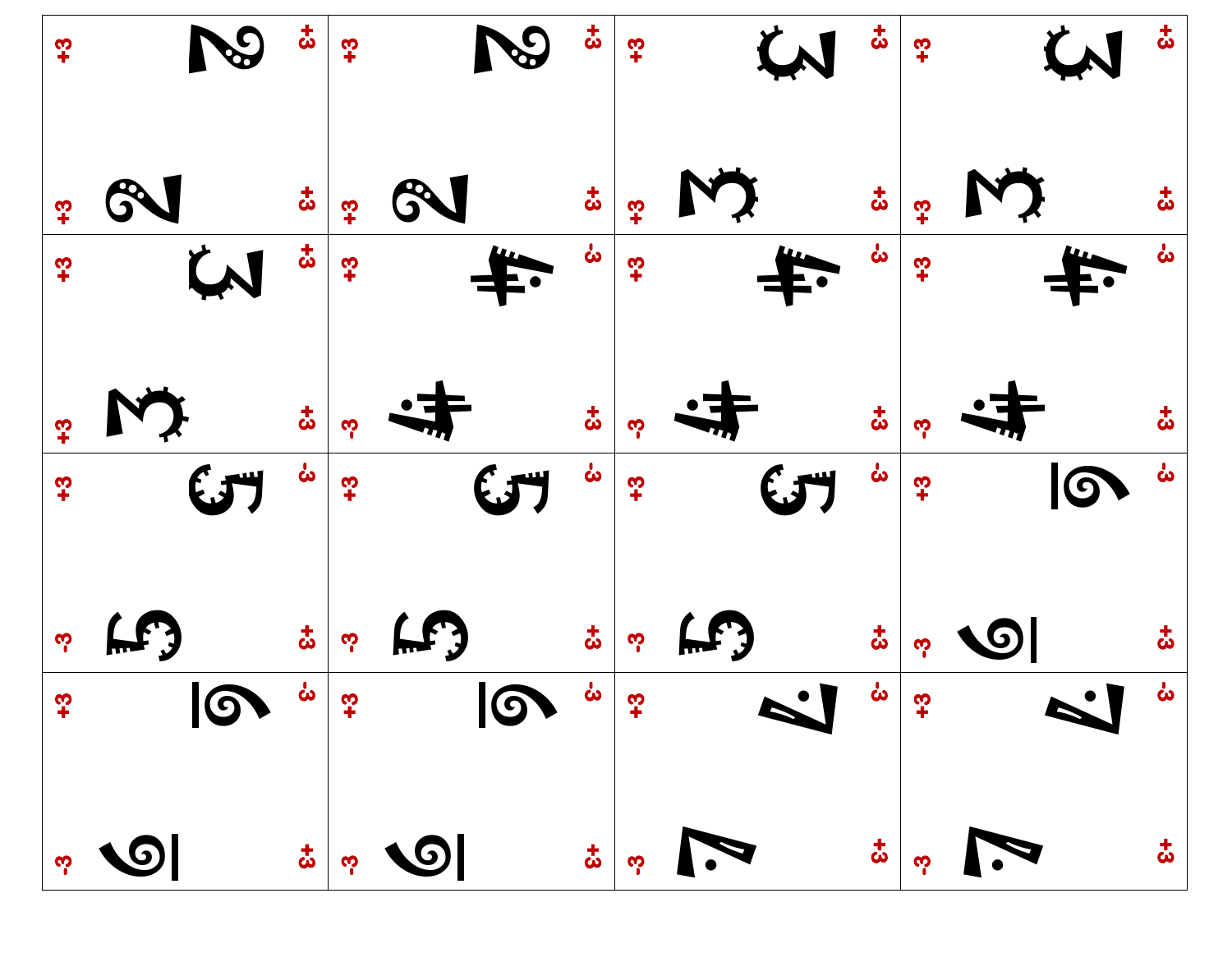| $\frac{6}{5}$        | $\boldsymbol{\ddot{\omega}}$ | $\frac{3}{2}$      | $\mathcal{S}$ | $\boldsymbol{\ddot{\omega}}$ | $\frac{1}{2}$ |              | $\boldsymbol{\ddot{\omega}}$ | $\boldsymbol{\cdot}$ |           | $\boldsymbol{\ddot{\omega}}$ |
|----------------------|------------------------------|--------------------|---------------|------------------------------|---------------|--------------|------------------------------|----------------------|-----------|------------------------------|
| က္                   | $\boldsymbol{\ddot{\omega}}$ |                    |               | $\boldsymbol{\ddot{\omega}}$ | က္            |              | $\boldsymbol{\ddot{\omega}}$ | က္                   |           |                              |
| $\boldsymbol{\cdot}$ | $\boldsymbol{\ddot{\omega}}$ | $\boldsymbol{t}^2$ |               | ယ်                           | $\mathbf{r}$  |              |                              | $\mathbf{r}$         |           |                              |
| <u>က္</u>            | $\boldsymbol{\ddot{\omega}}$ | ကု                 |               | $\boldsymbol{\ddot{\omega}}$ | ကု            |              |                              | ကု                   |           |                              |
| က္                   | မ်                           | $\frac{1}{2}$      | $\mathbf{G}$  | ဖ                            | $\mathbf{r}$  | $\mathbf{G}$ | ဖ                            | $\boldsymbol{c}^+$   | $\bullet$ | မ်                           |
| ကု                   | $\boldsymbol{\ddot{\omega}}$ |                    |               | お                            |               | (LF)         |                              | ကူ                   | 10        |                              |
|                      |                              |                    |               |                              |               |              |                              |                      |           |                              |
|                      |                              |                    |               |                              |               |              |                              |                      |           |                              |